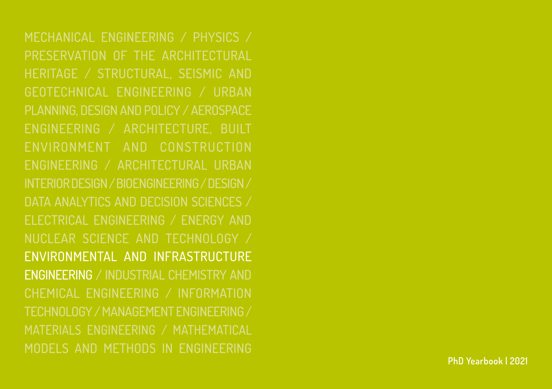Mechanical Engineering / Physics / Preservation Of The Architectural Heritage / Structural, Seismic And Geotechnical Engineering / Urban Planning, Design And Policy / Aerospace Engineering / Architecture, Built Environment And Construction Engineering / Architectural Urban Interior Design / Bioengineering/ Design / Data Analytics and Decision Sciences / Electrical Engineering / Energy And Nuclear Science And Technology / Environmental And Infrastructure Engineering / Industrial Chemistry And Chemical Engineering / Information Technology / Management Engineering / MATERIALs ENGINEERING / Mathematical Models And Methods In Engineering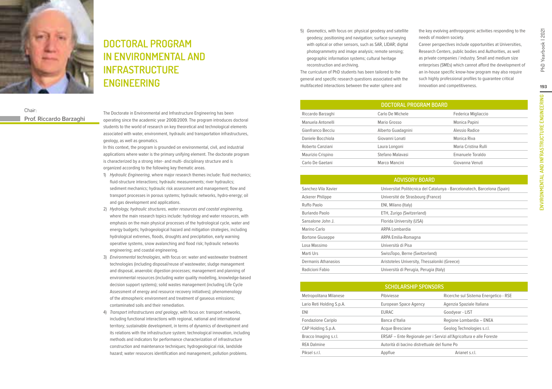

# **Doctoral Program in Environmental and Infrastructure engineering**

### Chair: **Prof. Riccardo Barzaghi**

The Doctorate in Environmental and Infrastructure Engineering has been operating since the academic year 2008/2009. The program introduces doctoral students to the world of research on key theoretical and technological elements associated with water, environment, hydraulic and transportation infrastructures, geology, as well as geomatics.

In this context, the program is grounded on environmental, civil, and industrial applications where water is the primary unifying element. The doctorate program is characterized by a strong inter- and multi- disciplinary structure and is organized according to the following key thematic areas.

- 1) Hydraulic Engineering, where major research themes include: fluid mechanics; fluid-structure interactions; hydraulic measurements; river hydraulics; sediment mechanics; hydraulic risk assessment and management; flow and transport processes in porous systems; hydraulic networks, hydro-energy; oil and gas development and applications.
- 2) Hydrology, hydraulic structures, water resources and coastal engineering, where the main research topics include: hydrology and water resources, with emphasis on the main physical processes of the hydrological cycle, water and energy budgets; hydrogeological hazard and mitigation strategies, including hydrological extremes, floods, droughts and precipitation, early warning operative systems, snow avalanching and flood risk; hydraulic networks engineering; and coastal engineering.
- 3) Environmental technologies, with focus on: water and wastewater treatment technologies (including disposal/reuse of wastewater, sludge management and disposal, anaerobic digestion processes; management and planning of environmental resources (including water quality modelling, knowledge-based decision support systems); solid wastes management (including Life Cycle Assessment of energy and resource recovery initiatives); phenomenology of the atmospheric environment and treatment of gaseous emissions; contaminated soils and their remediation.
- 4) Transport infrastructures and geology, with focus on: transport networks, including functional interactions with regional, national and international territory; sustainable development, in terms of dynamics of development and its relations with the infrastructure system; technological innovation, including methods and indicators for performance characterization of infrastructure construction and maintenance techniques; hydrogeological risk, landslide hazard; water resources identification and management, pollution problems.

5) Geomatics, with focus on: physical geodesy and satellite geodesy; positioning and navigation; surface surveying with optical or other sensors, such as SAR, LIDAR; digital photogrammetry and image analysis; remote sensing; geographic information systems; cultural heritage reconstruction and archiving.

The curriculum of PhD students has been tailored to the general and specific research questions associated with the multifaceted interactions between the water sphere and

the key evolving anthropogenic activities responding to the needs of modern society.

Career perspectives include opportunities at Universities, Research Centers, public bodies and Authorities, as well as private companies / industry. Small and medium size enterprises (SMEs) which cannot afford the development of an in-house specific know-how program may also require such highly professional profiles to guarantee critical innovation and competitiveness.

| <b>DOCTORAL PROGRAM BOARD</b> |                    |                      |  |  |
|-------------------------------|--------------------|----------------------|--|--|
| Riccardo Barzaghi             | Carlo De Michele   | Federica Migliaccio  |  |  |
| Manuela Antonelli             | Mario Grosso       | Monica Papini        |  |  |
| Gianfranco Becciu             | Alberto Guadagnini | Alessio Radice       |  |  |
| Daniele Bocchiola             | Giovanni Lonati    | Monica Riva          |  |  |
| Roberto Canziani              | Laura Longoni      | Maria Cristina Rulli |  |  |
| Maurizio Crispino             | Stefano Malavasi   | Emanuele Toraldo     |  |  |
| Carlo De Gaetani              | Marco Mancini      | Giovanna Venuti      |  |  |
|                               |                    |                      |  |  |

| <b>ADVISORY BOARD</b>   |                                                                          |  |
|-------------------------|--------------------------------------------------------------------------|--|
| Sanchez-Vila Xavier     | Universitat Politècnica del Catalunya - Barcelonatech, Barcelona (Spain) |  |
| Ackerer Philippe        | Université de Strasbourg (France)                                        |  |
| Ruffo Paolo             | ENI, Milano (Italy)                                                      |  |
| Burlando Paolo          | ETH, Zurigo (Switzerland)                                                |  |
| Sansalone John J.       | Florida University (USA)                                                 |  |
| Marino Carlo            | ARPA Lombardia                                                           |  |
| <b>Bortone Giuseppe</b> | ARPA Emilia-Romagna                                                      |  |
| Losa Massimo            | Università di Pisa                                                       |  |
| Marti Urs               | SwissTopo, Berne (Switzerland)                                           |  |
| Dermanis Athanasios     | Aristoteles University, Thessaloniki (Greece)                            |  |
| Radicioni Fabio         | Università di Perugia, Perugia (Italy)                                   |  |

| <b>SCHOLARSHIP SPONSORS</b> |                                                                     |                                       |  |
|-----------------------------|---------------------------------------------------------------------|---------------------------------------|--|
| Metropolitana Milanese      | Pibiviesse                                                          | Ricerche sul Sistema Energetico - RSE |  |
| Lario Reti Holding S.p.A.   | European Space Agency                                               | Agenzia Spaziale Italiana             |  |
| ENI                         | <b>EURAC</b>                                                        | Goodyear - LIST                       |  |
| <b>Fondazione Cariplo</b>   | Banca d'Italia                                                      | Regione Lombardia - ENEA              |  |
| CAP Holding S.p.A.          | Acque Bresciane                                                     | Geolog Technologies s.r.l.            |  |
| Bracco Imaging s.r.l.       | ERSAF – Ente Regionale per i Servizi all'Agricoltura e alle Foreste |                                       |  |
| <b>REA Dalmine</b>          | Autorità di bacino distrettuale del fiume Po                        |                                       |  |
| Piksel s.r.l.               | Appflue                                                             | Arianet s.r.l.                        |  |

PhD Yearbook | 2021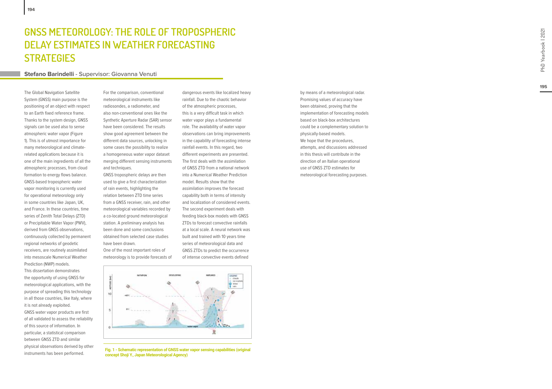### **GNSS METEOROLOGY: THE ROLE OF TROPOSPHERIC DELAY ESTIMATES IN WEATHER FORECASTING strat egi s**

#### **Stefano Barindelli - Supervisor: Giovanna Venuti**

The Global Navigation Satellite System (GNSS) main purpose is the positioning of an object with respect to an Earth fixed reference frame. Thanks to the system design, GNSS signals can be used also to sense atmospheric water vapor (Figure 1). This is of utmost importance for many meteorological and climaterelated applications because it is one of the main ingredients of all the atmospheric processes, from cloud formation to energy flows balance. GNSS-based tropospheric water vapor monitoring is currently used for operational meteorology only in some countries like Japan, UK, and France. In these countries, time series of Zenith Total Delays (ZTD) or Precipitable Water Vapor (PWV), derived from GNSS observations, continuously collected by permanent regional networks of geodetic receivers, are routinely assimilated into mesoscale Numerical Weather Prediction (NWP) models. This dissertation demonstrates the opportunity of using GNSS for meteorological applications, with the purpose of spreading this technology in all those countries, like Italy, where it is not already exploited. GNSS water vapor products are first of all validated to assess the reliability of this source of information. In particular, a statistical comparison between GNSS ZTD and similar physical observations derived by other instruments has been performed.

**194**

For the comparison, conventional meteorological instruments like radiosondes, a radiometer, and also non-conventional ones like the Synthetic Aperture Radar (SAR) sensor have been considered. The results show good agreement between the different data sources, unlocking in some cases the possibility to realize a homogeneous water vapor dataset merging different sensing instruments and techniques.

GNSS tropospheric delays are then used to give a first characterization of rain events, highlighting the relation between ZTD time series from a GNSS receiver, rain, and other meteorological variables recorded by a co-located ground meteorological station. A preliminary analysis has been done and some conclusions obtained from selected case studies have been drawn.

One of the most important roles of meteorology is to provide forecasts of

dangerous events like localized heavy rainfall. Due to the chaotic behavior of the atmospheric processes, this is a very difficult task in which water vapor plays a fundamental role. The availability of water vapor observations can bring improvements in the capability of forecasting intense rainfall events. In this regard, two different experiments are presented. The first deals with the assimilation of GNSS ZTD from a national network into a Numerical Weather Prediction model. Results show that the assimilation improves the forecast capability both in terms of intensity and localization of considered events. The second experiment deals with feeding black-box models with GNSS ZTDs to forecast convective rainfalls at a local scale. A neural network was built and trained with 10 years time series of meteorological data and GNSS ZTDs to predict the occurrence of intense convective events defined



**Fig. 1 - Schematic representation of GNSS water vapor sensing capabilities (original concept Shoji Y., Japan Meteorological Agency)**

by means of a meteorological radar. Promising values of accuracy have been obtained, proving that the implementation of forecasting models based on black-box architectures could be a complementary solution to physically-based models. We hope that the procedures, attempts, and discussions addressed in this thesis will contribute in the direction of an Italian operational use of GNSS ZTD estimates for meteorological forecasting purposes.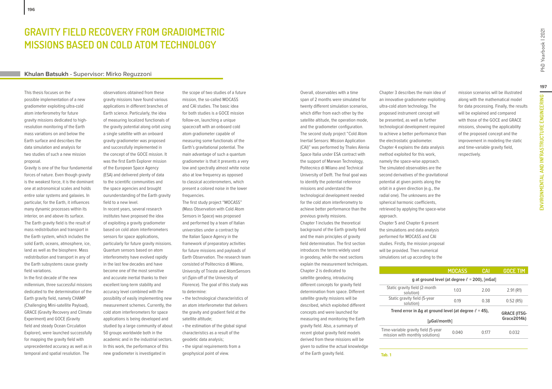### **Gravity field recovery from gradiometric missions based on cold atom technology**

#### **Khulan Batsukh - Supervisor: Mirko Reguzzoni**

This thesis focuses on the possible implementation of a new gradiometer exploiting ultra-cold atom interferometry for future gravity missions dedicated to highresolution monitoring of the Earth mass variations on and below the Earth surface and describes the data simulation and analysis for two studies of such a new mission proposal.

Gravity is one of the four fundamental forces of nature. Even though gravity is the weakest force, it is the dominant one at astronomical scales and holds entire solar systems and galaxies. In particular, for the Earth, it influences many dynamic processes within its interior, on and above its surface. The Earth gravity field is the result of mass redistribution and transport in the Earth system, which includes the solid Earth, oceans, atmosphere, ice, land as well as the biosphere. Mass redistribution and transport in any of the Earth subsystems cause gravity field variations.

In the first decade of the new millennium, three successful missions dedicated to the determination of the Earth gravity field, namely CHAMP (Challenging Mini-satellite Payload), GRACE (Gravity Recovery and Climate Experiment) and GOCE (Gravity field and steady Ocean Circulation Explorer), were launched successfully for mapping the gravity field with unprecedented accuracy as well as in temporal and spatial resolution. The

observations obtained from these gravity missions have found various applications in different branches of Earth science. Particularly, the idea of measuring localized functionals of the gravity potential along orbit using a single satellite with an onboard gravity gradiometer was proposed and successfully implemented in the concept of the GOCE mission. It was the first Earth Explorer mission of the European Space Agency (ESA) and delivered plenty of data to the scientific communities and the space agencies and brought ourunderstanding of the Earth gravity field to a new level.

In recent years, several research institutes have proposed the idea of exploiting a gravity gradiometer based on cold atom interferometers sensors for space applications, particularly for future gravity missions. Quantum sensors based on atom interferometry have evolved rapidly in the last few decades and have become one of the most sensitive and accurate inertial thanks to their excellent long-term stability and accuracy level combined with the possibility of easily implementing new measurement schemes. Currently, the cold atom interferometers for space applications is being developed and studied by a large community of about 50 groups worldwide both in the academic and in the industrial sectors. In this work, the performance of this new gradiometer is investigated in

the scope of two studies of a future mission, the so-called MOCASS and CAI studies. The basic idea for both studies is a GOCE mission follow-on, launching a unique spacecraft with an onboard cold atom gradiometer capable of measuring some functionals of the Earth's gravitational potential. The main advantage of such a quantum gradiometer is that it presents a very low and spectrally almost white noise also at low frequency as opposed to classical accelerometers, which present a colored noise in the lower frequencies.

The first study project "MOCASS" (Mass Observation with Cold Atom Sensors in Space) was proposed and performed by a team of Italian universities under a contract by the Italian Space Agency in the framework of preparatory activities for future missions and payloads of Earth Observation. The research team consisted of Politecnico di Milano, University of Trieste and AtomSensors srl (Spin-off of the University of Florence). The goal of this study was to determine:

• the technological characteristics of an atom interferometer that delivers the gravity and gradient field at the satellite altitude;

• the estimation of the global signal characteristics as a result of the geodetic data analysis; • the signal requirements from a

geophysical point of view.

Overall, observables with a time span of 2 months were simulated for twenty different simulation scenarios, which differ from each other by the satellite altitude, the operation mode, and the gradiometer configuration. The second study project "Cold Atom Inertial Sensors: Mission Application (CAI)" was performed by Thales Alenia Space Italia under ESA contract with the support of Marwan Technology, Politecnico di Milano and Technical University of Delft. The final goal was to identify the potential reference missions and understand the technological development needed for the cold atom interferometry to achieve better performance than the previous gravity missions. Chapter 1 includes the theoretical background of the Earth gravity field and the main principles of gravity field determination. The first section introduces the terms widely used in geodesy, while the next sections explain the measurement techniques. Chapter 2 is dedicated to satellite geodesy, introducing different concepts for gravity field determination from space. Different satellite gravity missions will be described, which exploited different concepts and were launched for measuring and monitoring the Earth gravity field. Also, a summary of recent global gravity field models derived from these missions will be given to outline the actual knowledge of the Earth gravity field.

Chapter 3 describes the main idea of an innovative gradiometer exploiting ultra-cold atom technology. The proposed instrument concept will be presented, as well as further technological development required to achieve a better performance than the electrostatic gradiometer. Chapter 4 explains the data analysis method exploited for this work, namely the space-wise approach. The simulated observables are the second derivatives of the gravitational potential at given points along the orbit in a given direction (e.g., the radial one). The unknowns are the spherical harmonic coefficients, retrieved by applying the space-wise approach. Chapter 5 and Chapter 6 present the simulations and data analysis performed for MOCASS and CAI studies. Firstly, the mission proposal will be provided. Then numerical

**Tab. 1** 

simulations set up according to the **MOCASS CAI GOCE TIM g** at ground level (at degree  $\ell$  = 200), [mGal] Static gravity field (2-month solution) 1.03 2.00 2.91 (R1) Static gravity field (5-year<br>solution) solution) 0.19 0.38 0.52 (R5) Trend error in  $\Delta$ g at ground level (at degree  $\ell$  = 45), **[µGal/month] GRACE (ITSG-Grace2014k)** Time-variable gravity field (5-year Time-variable gravity field (5-year to 0.040 o 0.177 o 0.032<br>mission with monthly solutions)

with those of the GOCE and GRACE missions, showing the applicability of the proposed concept and the improvement in modeling the static and time-variable gravity field,

mission scenarios will be illustrated along with the mathematical model for data processing. Finally, the results will be explained and compared

respectively.

**197**

**Environmental and Infrastructure engineering**

ENVIRONMENTAL AND INFRASTRUCTURE ENGINEERING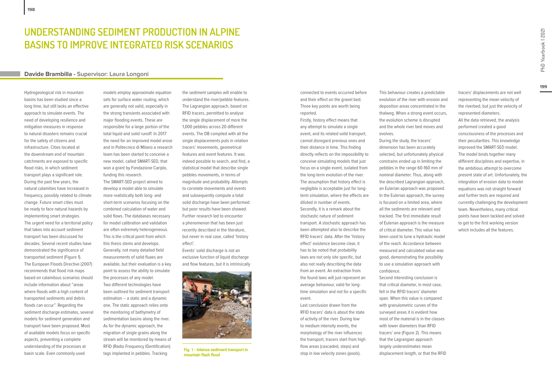### **UNDERSTANDING SEDIMENT PRODUCTION IN ALPINE BASINS TO IMPROVE INTEGRATED RISK SCENARIOS**

#### **Davide Brambilla - Supervisor: Laura Longoni**

Hydrogeological risk in mountain basins has been studied since a long time, but still lacks an effective approach to simulate events. The need of developing resilience and mitigation measures in response to natural disasters remains crucial for the safety of citizens and infrastructure. Cities located at the downstream end of mountain catchments are exposed to specific flood risks, in which sediment transport plays a significant role. During the past few years, the natural calamities have increased in frequency, possibly related to climate change. Future smart cities must be ready to face natural hazards by implementing smart strategies. The urgent need for a territorial policy that takes into account sediment transport has been discussed for decades. Several recent studies have demonstrated the significance of transported sediment (Figure 1). The European Floods Directive (2007) recommends that flood risk maps based on calamitous scenarios should include information about "areas where floods with a high content of transported sediments and debris floods can occur". Regarding the sediment discharge estimates, several models for sediment generation and transport have been proposed. Most of available models focus on specific aspects, preventing a complete understanding of the processes at basin scale. Even commonly used

models employ approximate equation sets for surface water routing, which are generally not valid, especially in the strong transients associated with major flooding events. These are responsible for a large portion of the total liquid and solid runoff. In 2017 the need for an improved model arose and in Politecnico di Milano a research team has been started to conceive a new model, called SMART-SED, that won a grant by Fondazione Cariplo, funding this research.

The SMART-SED project aimed to develop a model able to simulate more realistically both long- and short-term scenarios focusing on the combined calculation of water and solid flows. The databases necessary for model calibration and validation are often extremely heterogeneous. This is the critical point from which this thesis stems and develops. Generally, not many detailed field measurements of solid fluxes are available, but their evaluation is a key point to assess the ability to simulate the processes of any model. Two different technologies have been outlined for sediment transport estimation – a static and a dynamic one. The static approach relies onto the monitoring of bathymetry of sedimentation basins along the river. As for the dynamic approach, the migration of single grains along the stream will be monitored by means of RFID (Radio Frequency IDentification) tags implanted in pebbles. Tracking

the sediment samples will enable to understand the river/pebble features. The Lagrangian approach, based on RFID tracers, permitted to analyse the single displacement of more the 1,000 pebbles across 20 different events. The DB compiled with all the single displacements puts in relation tracers' movements, geometrical features and event features. It was indeed possible to search, and find, a statistical model that describe single pebbles movements, in terms of magnitude and probability. Attempts to correlate movements and events and subsequently compute a total solid discharge have been performed but poor results have been showed. Further research led to encounter a phenomenon that has been just recently described in the literature, but never in real case, called 'history effect'.

Events' solid discharge is not an exclusive function of liquid discharge and flow features, but it is intrinsically



**Fig. 1 - Intense sediment transport in mountain flash flood**

connected to events occurred before and their effect on the gravel bed. Three key points are worth being reported.

Firstly, history effect means that any attempt to simulate a single event, and its related solid transport, cannot disregard previous ones and their distance in time. This finding directly reflects on the impossibility to conceive simulating models that just focus on a single event, isolated from the long-term evolution of the river. The assumption that history effect is negligible is acceptable just for longterm simulation, where the effects are diluted in number of events. Secondly, it is a remark about the stochastic nature of sediment transport. A stochastic approach has been attempted also to describe the RFID tracers' data. After the 'history effect' existence become clear, it has to be noted that probability laws are not only site specific, but also not really describing the data from an event. An extraction from the found laws will just represent an average behaviour, valid for longtime simulation and not for a specific event.

Last conclusion drawn from the RFID tracers' data is about the state of activity of the river. During low to medium intensity events, the morphology of the river influences the transport, tracers start from high flow areas (cascaded, steps) and stop in low velocity zones (pools).

This behaviour creates a predictable evolution of the river with erosion and deposition areas concentrated in the thalweg. When a strong event occurs, the evolution scheme is disrupted and the whole river bed moves and evolves.

During the study, the tracers' dimension has been accurately selected, but unfortunately physical constrains ended up in limiting the pebbles in the range 60-160 mm of nominal diameter. Thus, along with the described Lagrangian approach, an Eulerian approach was proposed. In the Eulerian approach, the survey is focused on a limited area, where all the sediments are relevant and tracked. The first immediate result of Eulerian approach is the measure of critical diameter. This value has been used to tune a hydraulic model of the reach. Accordance between measured and calculated value was good, demonstrating the possibility to use a simulation approach with confidence. Second interesting conclusion is

that critical diameter, in most case, fell in the RFID tracers' diameter span. When this value is compared with granulometric curves of the surveyed areas it is evident how most of the material is in the classes with lower diameters than RFID tracers' one (Figure 2). This means that the Lagrangian approach largely underestimates mean displacement length, or that the RFID tracers' displacements are not well representing the mean velocity of the riverbed, but just the velocity of represented diameters. All the data retrieved, the analysis performed created a good consciousness of the processes and their peculiarities. This knowledge improved the SMART-SED model. The model binds together many different disciplines and expertise, in the ambitious attempt to overcome present state of art. Unfortunately, the integration of erosion data to model equations was not straight forward and further tests are required and currently challenging the development team. Nevertheless, many critical points have been tackled and solved to get to the first working version which includes all the features.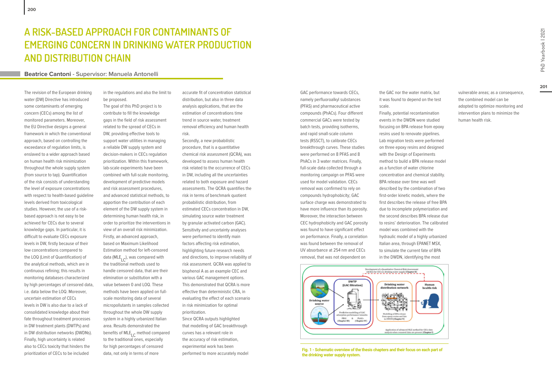#### **Beatrice Cantoni - Supervisor: Manuela Antonelli**

The revision of the European drinking water (DW) Directive has introduced some contaminants of emerging concern (CECs) among the list of monitored parameters. Moreover, the EU Directive designs a general framework in which the conventional approach, based on controlling the exceedance of regulation limits, is enslaved to a wider approach based on human health risk minimization throughout the whole supply system (from source to tap). Quantification of the risk consists of understanding the level of exposure concentrations with respect to health-based guideline levels derived from toxicological studies. However, the use of a riskbased approach is not easy to be achieved for CECs due to several knowledge gaps. In particular, it is difficult to evaluate CECs exposure levels in DW, firstly because of their low concentrations compared to the LOQ (Limit of Quantification) of the analytical methods, which are in continuous refining; this results in monitoring databases characterized by high percentages of censored data, i.e. data below the LOQ. Moreover, uncertain estimation of CECs levels in DW is also due to a lack of consolidated knowledge about their fate throughout treatment processes in DW treatment plants (DWTPs) and in DW distribution networks (DWDNs). Finally, high uncertainty is related also to CECs toxicity that hinders the prioritization of CECs to be included

in the regulations and also the limit to be proposed.

The goal of this PhD project is to contribute to fill the knowledge gaps in the field of risk assessment related to the spread of CECs in DW, providing effective tools to support water utilities in managing a reliable DW supply system and decision-makers in CECs regulation prioritization. Within this framework, lab-scale experiments have been combined with full-scale monitoring, development of predictive models and risk assessment procedures, and advanced statistical methods, to apportion the contribution of each element of the DW supply system in determining human health risk, in order to prioritize the interventions in view of an overall risk minimization. Firstly, an advanced approach, based on Maximum Likelihood Estimation method for left-censored data (MLE<sub>LC</sub>), was compared with the traditional methods used to handle censored data, that are their elimination or substitution with a value between 0 and LOQ. These methods have been applied on fullscale monitoring data of several micropollutants in samples collected throughout the whole DW supply system in a highly urbanized Italian area. Results demonstrated the benefits of MLE<sub>IC</sub> method compared to the traditional ones, especially for high percentages of censored data, not only in terms of more

accurate fit of concentration statistical distribution, but also in three data analysis applications, that are the estimation of concentrations time trend in source water, treatment removal efficiency and human health risk.

Secondly, a new probabilistic procedure, that is a quantitative chemical risk assessment (QCRA), was developed to assess human health risk related to the occurrence of CECs in DW, including all the uncertainties related to both exposure and hazard assessments. The QCRA quantifies the risk in terms of benchmark quotient probabilistic distribution, from estimated CECs concentration in DW, simulating source water treatment by granular activated carbon (GAC). Sensitivity and uncertainty analyses were performed to identify main factors affecting risk estimation, highlighting future research needs and directions, to improve reliability of risk assessment. QCRA was applied to bisphenol A as an example CEC and various GAC management options. This demonstrated that QCRA is more effective than deterministic CRA, in evaluating the effect of each scenario in risk minimization for optimal prioritization. Since QCRA outputs highlighted that modelling of GAC breakthrough curves has a relevant role in the accuracy of risk estimation,

experimental work has been performed to more accurately model GAC performance towards CECs, namely perfluoroalkyl substances (PFAS) and pharmaceutical active compounds (PhACs). Four different commercial GACs were tested by batch tests, providing isotherms, and rapid small-scale column tests (RSSCT), to calibrate CECs breakthrough curves. These studies were performed on 8 PFAS and 8 PhACs in 3 water matrices. Finally, full-scale data collected through a monitoring campaign on PFAS were used for model validation. CECs removal was confirmed to rely on compounds hydrophobicity; GAC surface charge was demonstrated to have more influence than its porosity. Moreover, the interaction between CEC hydrophobicity and GAC porosity was found to have significant effect on performance. Finally, a correlation was found between the removal of UV absorbance at 254 nm and CECs removal, that was not dependent on

the GAC nor the water matrix, but it was found to depend on the test scale.

Finally, potential recontamination events in the DWDN were studied focusing on BPA release from epoxy resins used to renovate pipelines. Lab migration tests were performed on three epoxy resins and designed with the Design of Experiments method to build a BPA release model as a function of water chlorine concentration and chemical stability. BPA release over time was well described by the combination of two first-order kinetic models, where the first describes the release of free BPA due to incomplete polymerization and the second describes BPA release due to resins' deterioration. The calibrated model was combined with the hydraulic model of a highly urbanized Italian area, through EPANET MSX, to simulate the current fate of BPA in the DWDN, identifying the most





**Fig. 1 - Schematic overview of the thesis chapters and their focus on each part of the drinking water supply system.**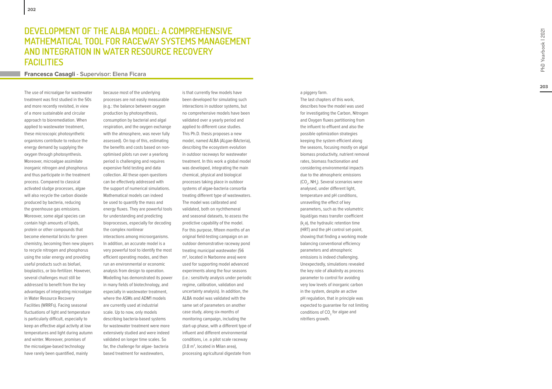### **DEVELOPMENT OF THE ALBA MODEL: A COMPREHENSIV** <code>MATHEMATICAL TOOL FOR RACEWAY SYSTEMS MANAGEMENT</code> **and int egration in Wat er Resourc e Recov ery Faciliti s**

#### **Francesca Casagli - Supervisor: Elena Ficara**

The use of microalgae for wastewater treatment was first studied in the 50s and more recently revisited, in view of a more sustainable and circular approach to bioremediation. When applied to wastewater treatment, these microscopic photosynthetic organisms contribute to reduce the energy demand by supplying the oxygen through photosynthesis. Moreover, microalgae assimilate inorganic nitrogen and phosphorus and thus participate in the treatment process. Compared to classical activated sludge processes, algae will also recycle the carbon dioxide produced by bacteria, reducing the greenhouse gas emissions. Moreover, some algal species can contain high amounts of lipids, protein or other compounds that become elemental bricks for green chemistry, becoming then new players to recycle nitrogen and phosphorus using the solar energy and providing useful products such as biofuel, bioplastics, or bio-fertilizer. However, several challenges must still be addressed to benefit from the key advantages of integrating microalgae in Water Resource Recovery Facilities (WRRFs). Facing seasonal fluctuations of light and temperature is particularly difficult, especially to keep an effective algal activity at low temperatures and light during autumn and winter. Moreover, promises of the microalgae-based technology have rarely been quantified, mainly

because most of the underlying processes are not easily measurable (e.g.: the balance between oxygen production by photosynthesis, consumption by bacterial and algal respiration, and the oxygen exchange with the atmosphere, was never fully assessed). On top of this, estimating the benefits and costs based on nonoptimised pilots run over a yearlong period is challenging and requires expensive field testing and data collection. All these open questions can be effectively addressed with the support of numerical simulations. Mathematical models can indeed be used to quantify the mass and energy fluxes. They are powerful tools for understanding and predicting bioprocesses, especially for decoding the complex nonlinear interactions among microorganisms. In addition, an accurate model is a very powerful tool to identify the most efficient operating modes, and then run an environmental or economic analysis from design to operation. Modelling has demonstrated its power in many fields of biotechnology, and especially in wastewater treatment, where the ASMs and ADM1 models are currently used at industrial scale. Up to now, only models describing bacteria-based systems for wastewater treatment were more extensively studied and were indeed validated on longer time scales. So

far, the challenge for algae- bacteria based treatment for wastewaters,

is that currently few models have been developed for simulating such interactions in outdoor systems, but no comprehensive models have been validated over a yearly period and applied to different case studies. This Ph.D. thesis proposes a new model, named ALBA (ALgae-BActeria), describing the ecosystem evolution in outdoor raceways for wastewater treatment. In this work a global model was developed, integrating the main chemical, physical and biological processes taking place in outdoor systems of algae-bacteria consortia treating different type of wastewaters. The model was calibrated and validated, both on nychthemeral and seasonal datasets, to assess the predictive capability of the model. For this purpose, fifteen months of an original field-testing campaign on an outdoor demonstrative raceway pond treating municipal wastewater (56<br>m<sup>2</sup>, located in Narbonne area) were used for supporting model advanced experiments along the four seasons (i.e.: sensitivity analysis under periodic regime, calibration, validation and uncertainty analysis). In addition, the ALBA model was validated with the same set of parameters on another case study, along six-months of monitoring campaign, including the start-up phase, with a different type of influent and different environmental conditions, i.e. a pilot scale raceway (3.8 m 2 , located in Milan area), processing agricultural digestate from

#### a piggery farm. The last chapters of this work, describes how the model was used for investigating the Carbon, Nitrogen and Oxygen fluxes partitioning from the influent to effluent and also the possible optimization strategies keeping the system efficient along the seasons, focusing mostly on algal biomass productivity, nutrient removal rates, biomass fractionation and considering environmental impacts due to the atmospheric emissions (CO 2 , NH 3 ). Several scenarios were analysed, under different light, temperature and pH conditions, unravelling the effect of key parameters, such as the volumetric liquid/gas mass transfer coefficient (k L a), the hydraulic retention time (HRT) and the pH control set-point, showing that finding a working mode balancing conventional efficiency parameters and atmospheric emissions is indeed challenging. Unexpectedly, simulations revealed the key role of alkalinity as process parameter to control for avoiding very low levels of inorganic carbon in the system, despite an active pH regulation, that in principle was expected to guarantee for not limiting conditions of CO <sup>2</sup> for algae and nitrifiers growth.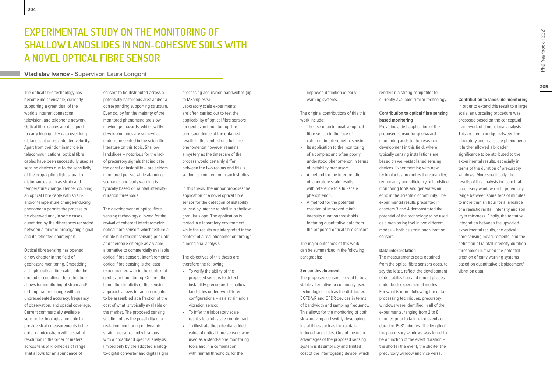#### **Vladislav Ivanov - Supervisor: Laura Longoni**

The optical fibre technology has become indispensable, currently supporting a great deal of the world's internet connection, television, and telephone network. Optical fibre cables are designed to carry high quality data over long distances at unprecedented velocity. Apart from their dominant role in telecommunications, optical fibre cables have been successfully used as sensing devices due to the sensitivity of the propagating light signal to disturbances such as strain and temperature change. Hence, coupling an optical fibre cable with strainand/or temperature change-inducing phenomena permits the process to be observed and, in some cases, quantified by the differences recorded between a forward propagating signal and its reflected counterpart.

Optical fibre sensing has opened a new chapter in the field of geohazard monitoring. Embedding a simple optical fibre cable into the ground or coupling it to a structure allows for monitoring of strain and/ or temperature change with an unprecedented accuracy, frequency of observation, and spatial coverage. Current commercially available sensing technologies are able to provide strain measurements in the order of microstrain with a spatial resolution in the order of meters across tens of kilometres of range. That allows for an abundance of

sensors to be distributed across a potentially hazardous area and/or a corresponding supporting structure. Even so, by far, the majority of the monitored phenomena are slow moving geohazards, while swiftly developing ones are somewhat underrepresented in the scientific literature on this topic. Shallow landslides – notorious for the lack of precursory signals that indicate the onset of instability – are seldom monitored per se, while alarming scenarios and early warning is typically based on rainfall intensityduration thresholds.

The development of optical fibre sensing technology allowed for the revival of coherent interferometric optical fibre sensors which feature a simple but efficient sensing principle and therefore emerge as a viable alternative to commercially available optical fibre sensors. Interferometric optical fibre sensing is the least experimented with in the context of geohazard monitoring. On the other hand, the simplicity of the sensing approach allows for an interrogator to be assembled at a fraction of the cost of what is typically available on the market. The proposed sensing solution offers the possibility of a real-time monitoring of dynamic strain, pressure, and vibrations with a broadband spectral analysis, limited only by the adopted analogto-digital converter and digital signal

processing acquisition bandwidths (up to MSamples/s). Laboratory scale experiments are often carried out to test the applicability of optical fibre sensors for geohazard monitoring. The correspondence of the obtained results in the context of a full-size phenomenon however remains a mystery as the timescale of the process would certainly differ between the two realms and this is seldom accounted for in such studies.

In this thesis, the author proposes the application of a novel optical fibre sensor for the detection of instability caused by intense rainfall in a shallow granular slope. The application is tested in a laboratory environment, while the results are interpreted in the context of a real phenomenon through dimensional analysis.

The objectives of this thesis are therefore the following:

- To verify the ability of the proposed sensors to detect instability precursors in shallow landslides under two different configurations – as a strain and a vibration sensor.
- To infer the laboratory scale results to a full-scale counterpart.
- To illustrate the potential added value of optical fibre sensors when used as a stand-alone monitoring tools and in a combination with rainfall thresholds for the

improved definition of early warning systems.

The original contributions of this this work include:

- The use of an innovative optical fibre sensor in the face of coherent interferometric sensing
- Its application to the monitoring of a complex and often poorly understood phenomenon in terms of instability precursors.
- A method for the interpretation of laboratory scale results with reference to a full-scale phenomenon.
- A method for the potential creation of improved rainfall intensity duration thresholds featuring quantitative data from the proposed optical fibre sensors.

The major outcomes of this work can be summarized in the following paragraphs:

#### **Sensor development**

The proposed sensors proved to be a viable alternative to commonly used technologies such as the distributed BOTDA/R and OFDR devices in terms of bandwidth and sampling frequency. This allows for the monitoring of both slow-moving and swiftly developing instabilities such as the rainfallinduced landslides. One of the main advantages of the proposed sensing system is its simplicity and limited cost of the interrogating device, which renders it a strong competitor to currently available similar technology.

#### **Contribution to optical fibre sensing based monitoring**

Providing a first application of the proposed sensor for geohazard monitoring adds to the research development in this field, where typically sensing installations are based on well-established sensing devices. Experimenting with new technologies promotes the variability, redundancy and efficiency of landslide monitoring tools and generates an echo in the scientific community. The experimental results presented in chapters 3 and 4 demonstrated the potential of the technology to be used as a monitoring tool in two different modes – both as strain and vibration sensors.

#### **Data interpretation**

The measurements data obtained from the optical fibre sensors does, to say the least, reflect the development of destabilization and runout phases under both experimental modes. For what is more, following the data processing techniques, precursory windows were identified in all of the experiments, ranging from 2 to 8 minutes prior to failure for events of duration 15-31 minutes. The length of the precursory windows was found to be a function of the event duration – the shorter the event, the shorter the precursory window and vice versa.

#### **Contribution to landslide monitoring**

In order to extend this result to a large scale, an upscaling procedure was proposed based on the conceptual framework of dimensional analysis. This created a bridge between the laboratory and real scale phenomena. It further allowed a broader significance to be attributed to the experimental results, especially in terms of the duration of precursory windows. More specifically, the results of this analysis indicate that a precursory window could potentially range between some tens of minutes to more than an hour for a landslide of a realistic rainfall intensity and soil layer thickness. Finally, the tentative integration between the upscaled experimental results, the optical fibre sensing measurements, and the definition of rainfall intensity-duration thresholds illustrated the potential creation of early warning systems based on quantitative displacement/ vibration data.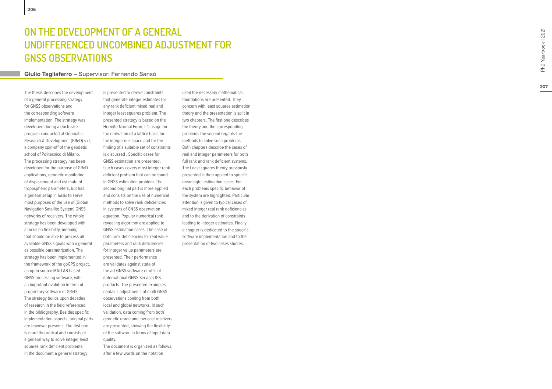## **MENT OF A GENERAL UNDIFFERENCED UNCOMBINED ADJUSTMENT FOR GNSS Obs ervations**

#### **Giulio Tagliaferro – Supervisor: Fernando Sansò**

The thesis describes the development of a general processing strategy for GNSS observations and the corresponding software implementation. The strategy was developed during a doctorate program conducted at Geomatics Research & Development (GReD) s.r.l, a company spin-off of the geodetic school of Politecnico di Milano. The processing strategy has been developed for the purpose of GReD applications, geodetic monitoring of displacement and estimate of tropospheric parameters, but has a general setup in basis to serve most purposes of the use of (Global Navigation Satellite System) GNSS networks of receivers. The whole strategy has been developed with a focus on flexibility, meaning that should be able to process all available GNSS signals with a general as possible parametrization. The strategy has been implemented in the framework of the goGPS project, an open source MATLAB based GNSS processing software, with an important evolution in term of proprietary software of GReD. The strategy builds upon decades of research in the field referenced in the bibliography. Besides specific implementation aspects, original parts are however presents. The first one is more theoretical and consists of a general way to solve integer least squares rank deficient problems. **ON THE DEVELO**<br>
UNDIFFERENCE<br>
GNSS OBSERVAT<br>
Giulio Tagliaferro – Sup-<br>
The thesis describes the developmer<br>
of a general processing strategy<br>
for GNSS observations and<br>
the corresponding software<br>
implementation. The str

is presented to derive constraints that generate integer estimates for any rank deficient mixed real and integer least squares problem. The presented strategy is based on the Hermite Normal Form, it's usage for the derivation of a lattice basis for the integer null space and for the finding of a suitable set of constraints is discussed . Specific cases for GNSS estimation are presented, tsuch cases covers most integer rank deficient problem that can be found in GNSS estimation problem. The second original part is more applied and consists on the use of numerical methods to solve rank deficiencies in systems of GNSS observation equation. Popular numerical rank revealing algorithm are applied to GNSS estimation cases. The case of both rank deficiencies for real value parameters and rank deficiencies for integer value parameters are presented. Their performance are validates against state of the art GNSS software or official (International GNSS Service) IGS products. The presented examples contains adjustments of multi GNSS observations coming from both local and global networks. In such validation, data coming from both geodetic grade and low-cost receivers are presented, showing the flexibility of the software in terms of input data quality.

The document is organized as follows, after a few words on the notation

used the necessary mathematical foundations are presented. They concern with least squares estimation theory and the presentation is split in two chapters. The first one describes the theory and the corresponding problems the second regards the methods to solve such problems. Both chapters describe the cases of real and integer parameters for both full rank and rank deficient systems. The Least squares theory previously presented is then applied to specific meaningful estimation cases For each problems specific behavior of the system are highlighted. Particular attention is given to typical cases of mixed integer real rank deficiencies and to the derivation of constraints leading to integer estimates. Finally a chapter is dedicated to the specific software implementation and to the presentation of two cases studies.